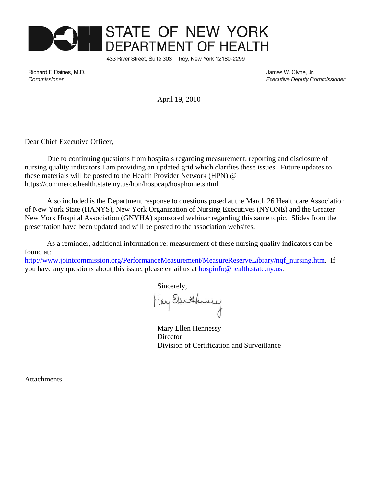

433 River Street, Suite 303 Troy, New York 12180-2299

Richard F. Daines, M.D. Commissioner

James W. Clyne, Jr. **Executive Deputy Commissioner** 

April 19, 2010

Dear Chief Executive Officer,

Due to continuing questions from hospitals regarding measurement, reporting and disclosure of nursing quality indicators I am providing an updated grid which clarifies these issues. Future updates to these materials will be posted to the Health Provider Network (HPN) @ https://commerce.health.state.ny.us/hpn/hospcap/hosphome.shtml

Also included is the Department response to questions posed at the March 26 Healthcare Association of New York State (HANYS), New York Organization of Nursing Executives (NYONE) and the Greater New York Hospital Association (GNYHA) sponsored webinar regarding this same topic. Slides from the presentation have been updated and will be posted to the association websites.

As a reminder, additional information re: measurement of these nursing quality indicators can be found at:

http://www.jointcommission.org/PerformanceMeasurement/MeasureReserveLibrary/nqf\_nursing.htm. If you have any questions about this issue, please email us at hospinfo@health.state.ny.us.

Sincerely,

May Elen Henney

Mary Ellen Hennessy **Director** Division of Certification and Surveillance

Attachments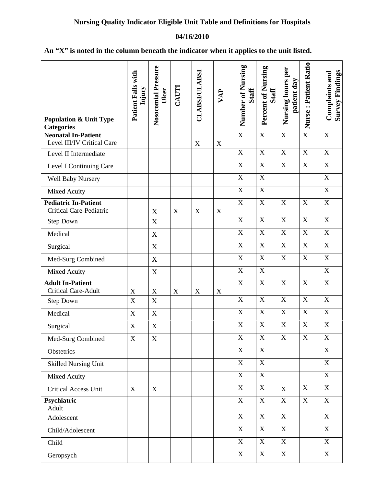## **04/16/2010**

| <b>Population &amp; Unit Type</b><br><b>Categories</b>        | Patient Falls with<br>Injury | Nosocomial Pressure<br>Ulcer | CAUTI       | <b>CLABSI/ULABSI</b> | VAP         | Number of Nursing<br><b>Staff</b> | Percent of Nursing<br><b>Staff</b> | Nursing hours per<br>patient day | Nurse: Patient Ratio    | <b>Survey Findings</b><br>Complaints and |
|---------------------------------------------------------------|------------------------------|------------------------------|-------------|----------------------|-------------|-----------------------------------|------------------------------------|----------------------------------|-------------------------|------------------------------------------|
| <b>Neonatal In-Patient</b><br>Level III/IV Critical Care      |                              |                              |             | $\mathbf X$          | $\mathbf X$ | $\mathbf X$                       | $\mathbf X$                        | $\mathbf X$                      | $\overline{X}$          | $\mathbf X$                              |
| Level II Intermediate                                         |                              |                              |             |                      |             | $\mathbf X$                       | $\boldsymbol{\mathrm{X}}$          | $\mathbf X$                      | $\overline{X}$          | $\mathbf X$                              |
| Level I Continuing Care                                       |                              |                              |             |                      |             | $\mathbf X$                       | $\overline{X}$                     | $\mathbf X$                      | $\mathbf X$             | $\overline{X}$                           |
| Well Baby Nursery                                             |                              |                              |             |                      |             | $\mathbf X$                       | $\boldsymbol{\mathrm{X}}$          |                                  |                         | $\mathbf X$                              |
| Mixed Acuity                                                  |                              |                              |             |                      |             | $\mathbf X$                       | $\mathbf X$                        |                                  |                         | $\mathbf X$                              |
| <b>Pediatric In-Patient</b><br><b>Critical Care-Pediatric</b> |                              | X                            | $\mathbf X$ | $\mathbf X$          | $\mathbf X$ | $\overline{\mathbf{X}}$           | $\overline{X}$                     | X                                | $\mathbf X$             | $\overline{X}$                           |
| <b>Step Down</b>                                              |                              | $\mathbf X$                  |             |                      |             | $\mathbf X$                       | $\mathbf X$                        | $\mathbf X$                      | $\mathbf X$             | $\mathbf X$                              |
| Medical                                                       |                              | $\mathbf X$                  |             |                      |             | $\mathbf X$                       | $\overline{X}$                     | $\mathbf X$                      | $\overline{\text{X}}$   | $\overline{X}$                           |
| Surgical                                                      |                              | $\mathbf X$                  |             |                      |             | $\mathbf X$                       | $\mathbf X$                        | $\mathbf X$                      | $\mathbf X$             | $\mathbf X$                              |
| Med-Surg Combined                                             |                              | $\mathbf X$                  |             |                      |             | $\mathbf X$                       | $\mathbf X$                        | $\mathbf X$                      | $\mathbf X$             | $\mathbf X$                              |
| Mixed Acuity                                                  |                              | $\mathbf X$                  |             |                      |             | $\mathbf X$                       | $\mathbf X$                        |                                  |                         | $\mathbf X$                              |
| <b>Adult In-Patient</b><br><b>Critical Care-Adult</b>         | $\mathbf X$                  | $\mathbf X$                  | $\mathbf X$ | $\mathbf X$          | $\mathbf X$ | $\mathbf X$                       | $\overline{X}$                     | $\mathbf X$                      | $\mathbf X$             | $\mathbf X$                              |
| <b>Step Down</b>                                              | $\mathbf X$                  | $\mathbf X$                  |             |                      |             | $\overline{\mathbf{X}}$           | $\overline{X}$                     | $\mathbf X$                      | $\overline{\mathbf{X}}$ | $\overline{X}$                           |
| Medical                                                       | $\mathbf X$                  | $\mathbf X$                  |             |                      |             | $\mathbf X$                       | $\mathbf X$                        | $\mathbf X$                      | $\mathbf X$             | $\mathbf X$                              |
| Surgical                                                      | $\mathbf X$                  | $\mathbf X$                  |             |                      |             | $\mathbf X$                       | $\boldsymbol{\mathrm{X}}$          | $\mathbf X$                      | $\overline{\text{X}}$   | $\mathbf X$                              |
| Med-Surg Combined                                             | X                            | $\mathbf X$                  |             |                      |             | $\mathbf X$                       | X                                  | $\mathbf X$                      | $\mathbf X$             | $\boldsymbol{X}$                         |
| Obstetrics                                                    |                              |                              |             |                      |             | $\mathbf X$                       | $\mathbf X$                        |                                  |                         | $\boldsymbol{\mathrm{X}}$                |
| <b>Skilled Nursing Unit</b>                                   |                              |                              |             |                      |             | $\mathbf X$                       | $\mathbf X$                        |                                  |                         | $\mathbf X$                              |
| Mixed Acuity                                                  |                              |                              |             |                      |             | $\mathbf X$                       | $\overline{X}$                     |                                  |                         | $\overline{X}$                           |
| <b>Critical Access Unit</b>                                   | X                            | X                            |             |                      |             | $\mathbf X$                       | $\mathbf X$                        | $\mathbf X$                      | $\mathbf X$             | $\mathbf X$                              |
| Psychiatric<br>Adult                                          |                              |                              |             |                      |             | $\mathbf X$                       | $\mathbf X$                        | $\mathbf X$                      | $\mathbf X$             | X                                        |
| Adolescent                                                    |                              |                              |             |                      |             | $\mathbf X$                       | $\mathbf X$                        | $\mathbf X$                      |                         | $\boldsymbol{\mathrm{X}}$                |
| Child/Adolescent                                              |                              |                              |             |                      |             | $\mathbf X$                       | $\mathbf X$                        | $\mathbf X$                      |                         | $\boldsymbol{\mathrm{X}}$                |
| Child                                                         |                              |                              |             |                      |             | $\mathbf X$                       | $\mathbf X$                        | $\mathbf X$                      |                         | X                                        |

Geropsych X X X X

## **An "X" is noted in the column beneath the indicator when it applies to the unit listed.**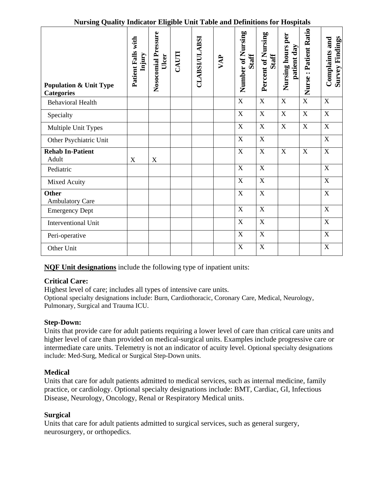| Turbing Quanty murtuut Engloic Cint Tuore and Demnitons for Hospitals |                              |                              |       |                      |     |                                   |                                    |                                     |                         |                                                 |
|-----------------------------------------------------------------------|------------------------------|------------------------------|-------|----------------------|-----|-----------------------------------|------------------------------------|-------------------------------------|-------------------------|-------------------------------------------------|
| <b>Population &amp; Unit Type</b><br><b>Categories</b>                | Patient Falls with<br>Injury | Nosocomial Pressure<br>Ulcer | CAUTI | <b>CLABSI/ULABSI</b> | VAP | Number of Nursing<br><b>Staff</b> | Percent of Nursing<br><b>Staff</b> | per<br>patient day<br>Nursing hours | Nurse: Patient Ratio    | <b>Survey Findings</b><br><b>Complaints and</b> |
| <b>Behavioral Health</b>                                              |                              |                              |       |                      |     | $\overline{\mathbf{X}}$           | $\overline{X}$                     | $\overline{X}$                      | $\overline{\mathbf{X}}$ | $\overline{X}$                                  |
| Specialty                                                             |                              |                              |       |                      |     | $\mathbf X$                       | $\mathbf X$                        | $\mathbf X$                         | $\mathbf X$             | $\mathbf X$                                     |
| Multiple Unit Types                                                   |                              |                              |       |                      |     | $\mathbf X$                       | $\mathbf X$                        | $\overline{X}$                      | $\mathbf X$             | $\overline{X}$                                  |
| Other Psychiatric Unit                                                |                              |                              |       |                      |     | $\mathbf X$                       | $\mathbf X$                        |                                     |                         | $\overline{X}$                                  |
| <b>Rehab In-Patient</b><br>Adult                                      | X                            | $\mathbf X$                  |       |                      |     | $\overline{\mathbf{X}}$           | $\overline{X}$                     | $\mathbf X$                         | $\mathbf X$             | $\overline{X}$                                  |
| Pediatric                                                             |                              |                              |       |                      |     | $\mathbf X$                       | $\mathbf X$                        |                                     |                         | $\mathbf X$                                     |
| Mixed Acuity                                                          |                              |                              |       |                      |     | $\mathbf X$                       | $\mathbf X$                        |                                     |                         | $\mathbf X$                                     |
| <b>Other</b><br><b>Ambulatory Care</b>                                |                              |                              |       |                      |     | $\overline{X}$                    | $\overline{X}$                     |                                     |                         | $\overline{X}$                                  |
| <b>Emergency Dept</b>                                                 |                              |                              |       |                      |     | $\mathbf X$                       | $\mathbf X$                        |                                     |                         | $\mathbf X$                                     |
| <b>Interventional Unit</b>                                            |                              |                              |       |                      |     | $\mathbf X$                       | $\mathbf X$                        |                                     |                         | $\mathbf X$                                     |
| Peri-operative                                                        |                              |                              |       |                      |     | $\mathbf X$                       | $\mathbf X$                        |                                     |                         | $\overline{X}$                                  |
| Other Unit                                                            |                              |                              |       |                      |     | $\mathbf X$                       | $\mathbf X$                        |                                     |                         | $\mathbf X$                                     |

## **Nursing Quality Indicator Eligible Unit Table and Definitions for Hospitals**

**NQF Unit designations** include the following type of inpatient units:

# **Critical Care:**

Highest level of care; includes all types of intensive care units. Optional specialty designations include: Burn, Cardiothoracic, Coronary Care, Medical, Neurology, Pulmonary, Surgical and Trauma ICU.

## **Step-Down:**

Units that provide care for adult patients requiring a lower level of care than critical care units and higher level of care than provided on medical-surgical units. Examples include progressive care or intermediate care units. Telemetry is not an indicator of acuity level. Optional specialty designations include: Med-Surg, Medical or Surgical Step-Down units.

## **Medical**

Units that care for adult patients admitted to medical services, such as internal medicine, family practice, or cardiology. Optional specialty designations include: BMT, Cardiac, GI, Infectious Disease, Neurology, Oncology, Renal or Respiratory Medical units.

# **Surgical**

Units that care for adult patients admitted to surgical services, such as general surgery, neurosurgery, or orthopedics.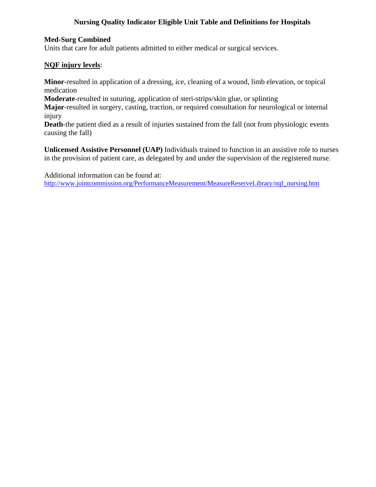## **Nursing Quality Indicator Eligible Unit Table and Definitions for Hospitals**

## **Med-Surg Combined**

Units that care for adult patients admitted to either medical or surgical services.

## **NQF injury levels**:

**Minor**-resulted in application of a dressing, ice, cleaning of a wound, limb elevation, or topical medication

**Moderate**-resulted in suturing, application of steri-strips/skin glue, or splinting

**Major**-resulted in surgery, casting, traction, or required consultation for neurological or internal injury

**Death**-the patient died as a result of injuries sustained from the fall (not from physiologic events causing the fall)

**Unlicensed Assistive Personnel (UAP)** Individuals trained to function in an assistive role to nurses in the provision of patient care, as delegated by and under the supervision of the registered nurse.

Additional information can be found at:

http://www.jointcommission.org/PerformanceMeasurement/MeasureReserveLibrary/nqf\_nursing.htm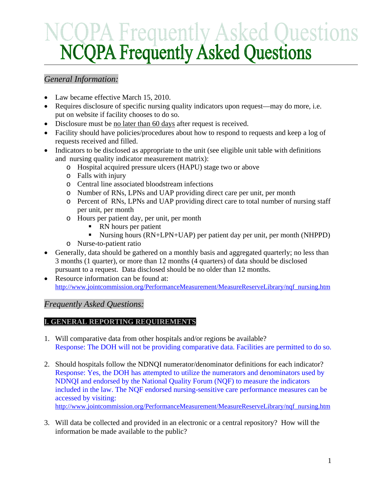# *General Information:*

- Law became effective March 15, 2010.
- Requires disclosure of specific nursing quality indicators upon request—may do more, i.e. put on website if facility chooses to do so.
- Disclosure must be <u>no later than 60 days</u> after request is received.
- Facility should have policies/procedures about how to respond to requests and keep a log of requests received and filled.
- Indicators to be disclosed as appropriate to the unit (see eligible unit table with definitions and nursing quality indicator measurement matrix):
	- o Hospital acquired pressure ulcers (HAPU) stage two or above
	- o Falls with injury
	- o Central line associated bloodstream infections
	- o Number of RNs, LPNs and UAP providing direct care per unit, per month
	- o Percent of RNs, LPNs and UAP providing direct care to total number of nursing staff per unit, per month
	- o Hours per patient day, per unit, per month
		- RN hours per patient
		- Nursing hours (RN+LPN+UAP) per patient day per unit, per month (NHPPD)
	- o Nurse-to-patient ratio
- Generally, data should be gathered on a monthly basis and aggregated quarterly; no less than 3 months (1 quarter), or more than 12 months (4 quarters) of data should be disclosed pursuant to a request. Data disclosed should be no older than 12 months.
- Resource information can be found at: http://www.jointcommission.org/PerformanceMeasurement/MeasureReserveLibrary/nqf\_nursing.htm

# *Frequently Asked Questions:*

# **I. GENERAL REPORTING REQUIREMENTS**

- 1. Will comparative data from other hospitals and/or regions be available? Response: The DOH will not be providing comparative data. Facilities are permitted to do so.
- 2. Should hospitals follow the NDNQI numerator/denominator definitions for each indicator? Response: Yes, the DOH has attempted to utilize the numerators and denominators used by NDNQI and endorsed by the National Quality Forum (NQF) to measure the indicators included in the law. The NQF endorsed nursing-sensitive care performance measures can be accessed by visiting:

http://www.jointcommission.org/PerformanceMeasurement/MeasureReserveLibrary/nqf\_nursing.htm

3. Will data be collected and provided in an electronic or a central repository? How will the information be made available to the public?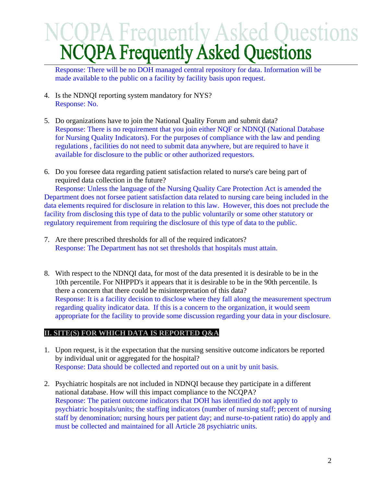Response: There will be no DOH managed central repository for data. Information will be made available to the public on a facility by facility basis upon request.

- 4. Is the NDNQI reporting system mandatory for NYS? Response: No.
- 5. Do organizations have to join the National Quality Forum and submit data? Response: There is no requirement that you join either NQF or NDNQI (National Database for Nursing Quality Indicators). For the purposes of compliance with the law and pending regulations , facilities do not need to submit data anywhere, but are required to have it available for disclosure to the public or other authorized requestors.
- 6. Do you foresee data regarding patient satisfaction related to nurse's care being part of required data collection in the future?

Response: Unless the language of the Nursing Quality Care Protection Act is amended the Department does not forsee patient satisfaction data related to nursing care being included in the data elements required for disclosure in relation to this law. However, this does not preclude the facility from disclosing this type of data to the public voluntarily or some other statutory or regulatory requirement from requiring the disclosure of this type of data to the public.

- 7. Are there prescribed thresholds for all of the required indicators? Response: The Department has not set thresholds that hospitals must attain.
- 8. With respect to the NDNQI data, for most of the data presented it is desirable to be in the 10th percentile. For NHPPD's it appears that it is desirable to be in the 90th percentile. Is there a concern that there could be misinterpretation of this data? Response: It is a facility decision to disclose where they fall along the measurement spectrum regarding quality indicator data. If this is a concern to the organization, it would seem appropriate for the facility to provide some discussion regarding your data in your disclosure.

# **II. SITE(S) FOR WHICH DATA IS REPORTED Q&A**

- 1. Upon request, is it the expectation that the nursing sensitive outcome indicators be reported by individual unit or aggregated for the hospital? Response: Data should be collected and reported out on a unit by unit basis.
- 2. Psychiatric hospitals are not included in NDNQI because they participate in a different national database. How will this impact compliance to the NCQPA? Response: The patient outcome indicators that DOH has identified do not apply to psychiatric hospitals/units; the staffing indicators (number of nursing staff; percent of nursing staff by denomination; nursing hours per patient day; and nurse-to-patient ratio) do apply and must be collected and maintained for all Article 28 psychiatric units.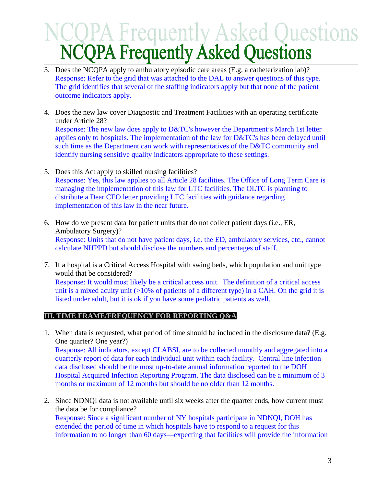- 3. Does the NCQPA apply to ambulatory episodic care areas (E.g. a catheterization lab)? Response: Refer to the grid that was attached to the DAL to answer questions of this type. The grid identifies that several of the staffing indicators apply but that none of the patient outcome indicators apply.
- 4. Does the new law cover Diagnostic and Treatment Facilities with an operating certificate under Article 28? Response: The new law does apply to D&TC's however the Department's March 1st letter applies only to hospitals. The implementation of the law for D&TC's has been delayed until such time as the Department can work with representatives of the D&TC community and identify nursing sensitive quality indicators appropriate to these settings.
- 5. Does this Act apply to skilled nursing facilities? Response: Yes, this law applies to all Article 28 facilities. The Office of Long Term Care is managing the implementation of this law for LTC facilities. The OLTC is planning to distribute a Dear CEO letter providing LTC facilities with guidance regarding implementation of this law in the near future.
- 6. How do we present data for patient units that do not collect patient days (i.e., ER, Ambulatory Surgery)? Response: Units that do not have patient days, i.e. the ED, ambulatory services, etc., cannot calculate NHPPD but should disclose the numbers and percentages of staff.
- 7. If a hospital is a Critical Access Hospital with swing beds, which population and unit type would that be considered? Response: It would most likely be a critical access unit. The definition of a critical access unit is a mixed acuity unit  $(>10\%$  of patients of a different type) in a CAH. On the grid it is listed under adult, but it is ok if you have some pediatric patients as well.

# **III. TIME FRAME/FREQUENCY FOR REPORTING Q&A**

- 1. When data is requested, what period of time should be included in the disclosure data? (E.g. One quarter? One year?) Response: All indicators, except CLABSI, are to be collected monthly and aggregated into a quarterly report of data for each individual unit within each facility. Central line infection data disclosed should be the most up-to-date annual information reported to the DOH Hospital Acquired Infection Reporting Program. The data disclosed can be a minimum of 3 months or maximum of 12 months but should be no older than 12 months.
- 2. Since NDNQI data is not available until six weeks after the quarter ends, how current must the data be for compliance? Response: Since a significant number of NY hospitals participate in NDNQI, DOH has extended the period of time in which hospitals have to respond to a request for this information to no longer than 60 days—expecting that facilities will provide the information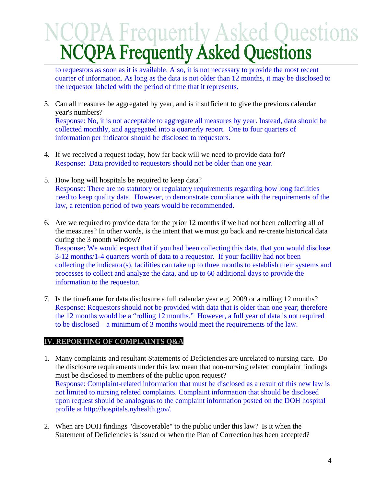to requestors as soon as it is available. Also, it is not necessary to provide the most recent quarter of information. As long as the data is not older than 12 months, it may be disclosed to the requestor labeled with the period of time that it represents.

- 3. Can all measures be aggregated by year, and is it sufficient to give the previous calendar year's numbers? Response: No, it is not acceptable to aggregate all measures by year. Instead, data should be collected monthly, and aggregated into a quarterly report. One to four quarters of information per indicator should be disclosed to requestors.
- 4. If we received a request today, how far back will we need to provide data for? Response: Data provided to requestors should not be older than one year.
- 5. How long will hospitals be required to keep data? Response: There are no statutory or regulatory requirements regarding how long facilities need to keep quality data. However, to demonstrate compliance with the requirements of the law, a retention period of two years would be recommended.
- 6. Are we required to provide data for the prior 12 months if we had not been collecting all of the measures? In other words, is the intent that we must go back and re-create historical data during the 3 month window? Response: We would expect that if you had been collecting this data, that you would disclose 3-12 months/1-4 quarters worth of data to a requestor. If your facility had not been collecting the indicator(s), facilities can take up to three months to establish their systems and
	- processes to collect and analyze the data, and up to 60 additional days to provide the information to the requestor.
- 7. Is the timeframe for data disclosure a full calendar year e.g. 2009 or a rolling 12 months? Response: Requestors should not be provided with data that is older than one year; therefore the 12 months would be a "rolling 12 months." However, a full year of data is not required to be disclosed – a minimum of 3 months would meet the requirements of the law.

# **IV. REPORTING OF COMPLAINTS Q&A**

- 1. Many complaints and resultant Statements of Deficiencies are unrelated to nursing care. Do the disclosure requirements under this law mean that non-nursing related complaint findings must be disclosed to members of the public upon request? Response: Complaint-related information that must be disclosed as a result of this new law is not limited to nursing related complaints. Complaint information that should be disclosed upon request should be analogous to the complaint information posted on the DOH hospital profile at http://hospitals.nyhealth.gov/.
- 2. When are DOH findings "discoverable" to the public under this law? Is it when the Statement of Deficiencies is issued or when the Plan of Correction has been accepted?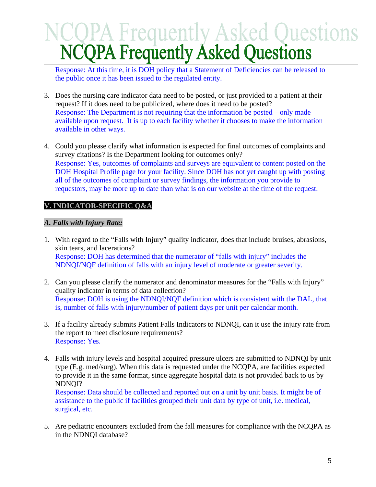Response: At this time, it is DOH policy that a Statement of Deficiencies can be released to the public once it has been issued to the regulated entity.

- 3. Does the nursing care indicator data need to be posted, or just provided to a patient at their request? If it does need to be publicized, where does it need to be posted? Response: The Department is not requiring that the information be posted—only made available upon request. It is up to each facility whether it chooses to make the information available in other ways.
- 4. Could you please clarify what information is expected for final outcomes of complaints and survey citations? Is the Department looking for outcomes only? Response: Yes, outcomes of complaints and surveys are equivalent to content posted on the DOH Hospital Profile page for your facility. Since DOH has not yet caught up with posting all of the outcomes of complaint or survey findings, the information you provide to requestors, may be more up to date than what is on our website at the time of the request.

# **V. INDICATOR-SPECIFIC Q&A**

## *A. Falls with Injury Rate:*

- 1. With regard to the "Falls with Injury" quality indicator, does that include bruises, abrasions, skin tears, and lacerations? Response: DOH has determined that the numerator of "falls with injury" includes the NDNQI/NQF definition of falls with an injury level of moderate or greater severity.
- 2. Can you please clarify the numerator and denominator measures for the "Falls with Injury" quality indicator in terms of data collection? Response: DOH is using the NDNQI/NQF definition which is consistent with the DAL, that is, number of falls with injury/number of patient days per unit per calendar month.
- 3. If a facility already submits Patient Falls Indicators to NDNQI, can it use the injury rate from the report to meet disclosure requirements? Response: Yes.
- 4. Falls with injury levels and hospital acquired pressure ulcers are submitted to NDNQI by unit type (E.g. med/surg). When this data is requested under the NCQPA, are facilities expected to provide it in the same format, since aggregate hospital data is not provided back to us by NDNQI?

Response: Data should be collected and reported out on a unit by unit basis. It might be of assistance to the public if facilities grouped their unit data by type of unit, i.e. medical, surgical, etc.

5. Are pediatric encounters excluded from the fall measures for compliance with the NCQPA as in the NDNQI database?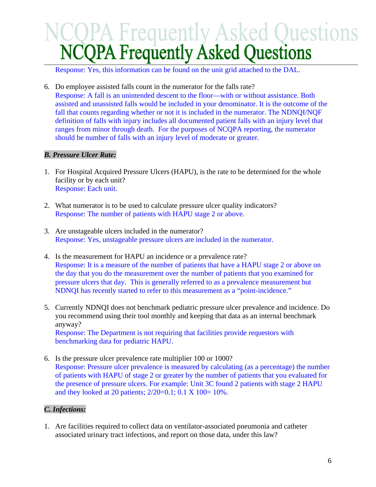Response: Yes, this information can be found on the unit grid attached to the DAL.

6. Do employee assisted falls count in the numerator for the falls rate? Response: A fall is an unintended descent to the floor—with or without assistance. Both assisted and unassisted falls would be included in your denominator. It is the outcome of the fall that counts regarding whether or not it is included in the numerator. The NDNQI/NQF definition of falls with injury includes all documented patient falls with an injury level that ranges from minor through death. For the purposes of NCQPA reporting, the numerator should be number of falls with an injury level of moderate or greater.

## *B. Pressure Ulcer Rate:*

- 1. For Hospital Acquired Pressure Ulcers (HAPU), is the rate to be determined for the whole facility or by each unit? Response: Each unit.
- 2. What numerator is to be used to calculate pressure ulcer quality indicators? Response: The number of patients with HAPU stage 2 or above.
- 3. Are unstageable ulcers included in the numerator? Response: Yes, unstageable pressure ulcers are included in the numerator.
- 4. Is the measurement for HAPU an incidence or a prevalence rate? Response: It is a measure of the number of patients that have a HAPU stage 2 or above on the day that you do the measurement over the number of patients that you examined for pressure ulcers that day. This is generally referred to as a prevalence measurement but NDNQI has recently started to refer to this measurement as a "point-incidence."
- 5. Currently NDNQI does not benchmark pediatric pressure ulcer prevalence and incidence. Do you recommend using their tool monthly and keeping that data as an internal benchmark anyway? Response: The Department is not requiring that facilities provide requestors with benchmarking data for pediatric HAPU.
- 6. Is the pressure ulcer prevalence rate multiplier 100 or 1000? Response: Pressure ulcer prevalence is measured by calculating (as a percentage) the number of patients with HAPU of stage 2 or greater by the number of patients that you evaluated for the presence of pressure ulcers. For example: Unit 3C found 2 patients with stage 2 HAPU and they looked at 20 patients;  $2/20=0.1$ ; 0.1 X 100= 10%.

## *C. Infections:*

1. Are facilities required to collect data on ventilator-associated pneumonia and catheter associated urinary tract infections, and report on those data, under this law?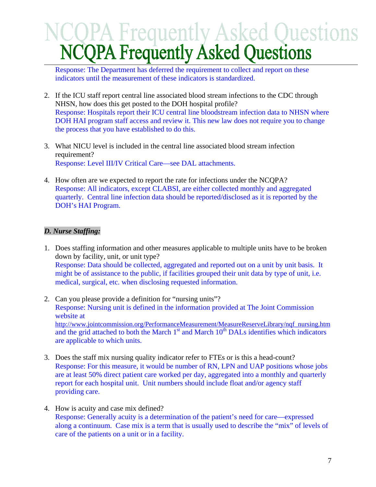Response: The Department has deferred the requirement to collect and report on these indicators until the measurement of these indicators is standardized.

- 2. If the ICU staff report central line associated blood stream infections to the CDC through NHSN, how does this get posted to the DOH hospital profile? Response: Hospitals report their ICU central line bloodstream infection data to NHSN where DOH HAI program staff access and review it. This new law does not require you to change the process that you have established to do this.
- 3. What NICU level is included in the central line associated blood stream infection requirement? Response: Level III/IV Critical Care—see DAL attachments.
- 4. How often are we expected to report the rate for infections under the NCQPA? Response: All indicators, except CLABSI, are either collected monthly and aggregated quarterly. Central line infection data should be reported/disclosed as it is reported by the DOH's HAI Program.

# *D. Nurse Staffing:*

- 1. Does staffing information and other measures applicable to multiple units have to be broken down by facility, unit, or unit type? Response: Data should be collected, aggregated and reported out on a unit by unit basis. It might be of assistance to the public, if facilities grouped their unit data by type of unit, i.e. medical, surgical, etc. when disclosing requested information.
- 2. Can you please provide a definition for "nursing units"? Response: Nursing unit is defined in the information provided at The Joint Commission website at http://www.jointcommission.org/PerformanceMeasurement/MeasureReserveLibrary/nqf\_nursing.htm and the grid attached to both the March 1<sup>st</sup> and March 10<sup>th</sup> DALs identifies which indicators are applicable to which units.
- 3. Does the staff mix nursing quality indicator refer to FTEs or is this a head-count? Response: For this measure, it would be number of RN, LPN and UAP positions whose jobs are at least 50% direct patient care worked per day, aggregated into a monthly and quarterly report for each hospital unit. Unit numbers should include float and/or agency staff providing care.
- 4. How is acuity and case mix defined? Response: Generally acuity is a determination of the patient's need for care—expressed along a continuum. Case mix is a term that is usually used to describe the "mix" of levels of care of the patients on a unit or in a facility.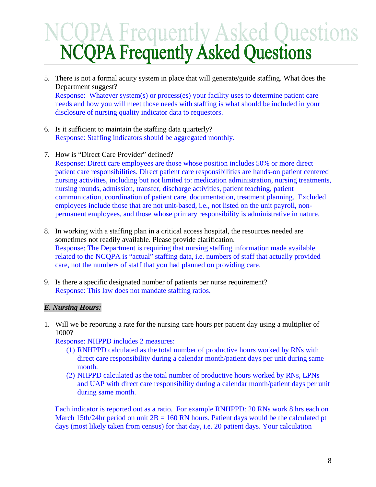- 5. There is not a formal acuity system in place that will generate/guide staffing. What does the Department suggest? Response: Whatever system(s) or process(es) your facility uses to determine patient care needs and how you will meet those needs with staffing is what should be included in your disclosure of nursing quality indicator data to requestors.
- 6. Is it sufficient to maintain the staffing data quarterly? Response: Staffing indicators should be aggregated monthly.
- 7. How is "Direct Care Provider" defined?

Response: Direct care employees are those whose position includes 50% or more direct patient care responsibilities. Direct patient care responsibilities are hands-on patient centered nursing activities, including but not limited to: medication administration, nursing treatments, nursing rounds, admission, transfer, discharge activities, patient teaching, patient communication, coordination of patient care, documentation, treatment planning. Excluded employees include those that are not unit-based, i.e., not listed on the unit payroll, nonpermanent employees, and those whose primary responsibility is administrative in nature.

- 8. In working with a staffing plan in a critical access hospital, the resources needed are sometimes not readily available. Please provide clarification. Response: The Department is requiring that nursing staffing information made available related to the NCQPA is "actual" staffing data, i.e. numbers of staff that actually provided care, not the numbers of staff that you had planned on providing care.
- 9. Is there a specific designated number of patients per nurse requirement? Response: This law does not mandate staffing ratios.

# *E. Nursing Hours:*

1. Will we be reporting a rate for the nursing care hours per patient day using a multiplier of 1000?

Response: NHPPD includes 2 measures:

- (1) RNHPPD calculated as the total number of productive hours worked by RNs with direct care responsibility during a calendar month/patient days per unit during same month.
- (2) NHPPD calculated as the total number of productive hours worked by RNs, LPNs and UAP with direct care responsibility during a calendar month/patient days per unit during same month.

Each indicator is reported out as a ratio. For example RNHPPD: 20 RNs work 8 hrs each on March 15th/24hr period on unit  $2B = 160$  RN hours. Patient days would be the calculated pt days (most likely taken from census) for that day, i.e. 20 patient days. Your calculation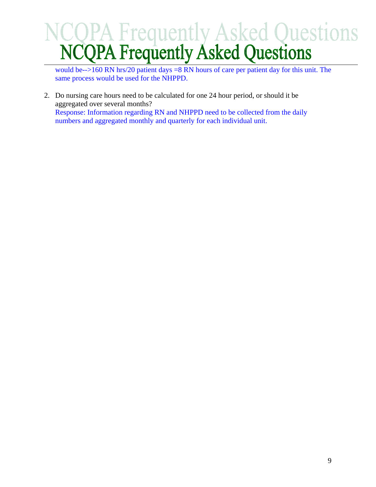would be-->160 RN hrs/20 patient days =8 RN hours of care per patient day for this unit. The same process would be used for the NHPPD.

2. Do nursing care hours need to be calculated for one 24 hour period, or should it be aggregated over several months? Response: Information regarding RN and NHPPD need to be collected from the daily numbers and aggregated monthly and quarterly for each individual unit.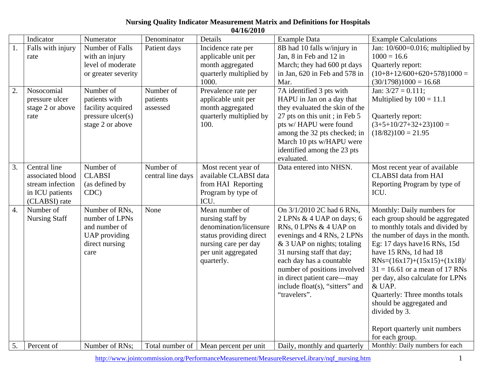# **Nursing Quality Indicator Measurement Matrix and Definitions for Hospitals**

|                    | 04/16/2010                                                                               |                                                                                                     |                                   |                                                                                                                                                      |                                                                                                                                                                                                                                                                                                                            |                                                                                                                                                                                                                                                                                                                                                                                                                                     |  |  |  |  |
|--------------------|------------------------------------------------------------------------------------------|-----------------------------------------------------------------------------------------------------|-----------------------------------|------------------------------------------------------------------------------------------------------------------------------------------------------|----------------------------------------------------------------------------------------------------------------------------------------------------------------------------------------------------------------------------------------------------------------------------------------------------------------------------|-------------------------------------------------------------------------------------------------------------------------------------------------------------------------------------------------------------------------------------------------------------------------------------------------------------------------------------------------------------------------------------------------------------------------------------|--|--|--|--|
|                    | Indicator                                                                                | Numerator                                                                                           | Denominator                       | Details                                                                                                                                              | <b>Example Data</b>                                                                                                                                                                                                                                                                                                        | <b>Example Calculations</b>                                                                                                                                                                                                                                                                                                                                                                                                         |  |  |  |  |
| 1.                 | Falls with injury<br>rate                                                                | Number of Falls<br>with an injury<br>level of moderate<br>or greater severity                       | Patient days                      | Incidence rate per<br>applicable unit per<br>month aggregated<br>quarterly multiplied by<br>1000.                                                    | 8B had 10 falls w/injury in<br>Jan, 8 in Feb and 12 in<br>March; they had 600 pt days<br>in Jan, 620 in Feb and 578 in<br>Mar.                                                                                                                                                                                             | Jan: $10/600=0.016$ ; multiplied by<br>$1000 = 16.6$<br>Quarterly report:<br>$(10+8+12/600+620+578)1000=$<br>$(30/1798)1000 = 16.68$                                                                                                                                                                                                                                                                                                |  |  |  |  |
| 2.                 | Nosocomial<br>pressure ulcer<br>stage 2 or above<br>rate                                 | Number of<br>patients with<br>facility acquired<br>$pressure$ ulcer $(s)$<br>stage 2 or above       | Number of<br>patients<br>assessed | Prevalence rate per<br>applicable unit per<br>month aggregated<br>quarterly multiplied by<br>100.                                                    | 7A identified 3 pts with<br>HAPU in Jan on a day that<br>they evaluated the skin of the<br>27 pts on this unit; in Feb 5<br>pts w/ HAPU were found<br>among the 32 pts checked; in<br>March 10 pts w/HAPU were<br>identified among the 23 pts<br>evaluated.                                                                | Jan: $3/27 = 0.111$ ;<br>Multiplied by $100 = 11.1$<br>Quarterly report:<br>$(3+5+10/27+32+23)100=$<br>$(18/82)100 = 21.95$                                                                                                                                                                                                                                                                                                         |  |  |  |  |
| 3.                 | Central line<br>associated blood<br>stream infection<br>in ICU patients<br>(CLABSI) rate | Number of<br><b>CLABSI</b><br>(as defined by<br>CDC)                                                | Number of<br>central line days    | Most recent year of<br>available CLABSI data<br>from HAI Reporting<br>Program by type of<br>ICU.                                                     | Data entered into NHSN.                                                                                                                                                                                                                                                                                                    | Most recent year of available<br><b>CLABSI</b> data from HAI<br>Reporting Program by type of<br>ICU.                                                                                                                                                                                                                                                                                                                                |  |  |  |  |
| $\boldsymbol{4}$ . | Number of<br><b>Nursing Staff</b>                                                        | Number of RNs,<br>number of LPNs<br>and number of<br><b>UAP</b> providing<br>direct nursing<br>care | None                              | Mean number of<br>nursing staff by<br>denomination/licensure<br>status providing direct<br>nursing care per day<br>per unit aggregated<br>quarterly. | On 3/1/2010 2C had 6 RNs,<br>2 LPNs & 4 UAP on days; 6<br>RNs, 0 LPNs & 4 UAP on<br>evenings and 4 RNs, 2 LPNs<br>$&$ 3 UAP on nights; totaling<br>31 nursing staff that day;<br>each day has a countable<br>number of positions involved<br>in direct patient care—may<br>include float(s), "sitters" and<br>"travelers". | Monthly: Daily numbers for<br>each group should be aggregated<br>to monthly totals and divided by<br>the number of days in the month.<br>Eg: 17 days have 16 RNs, 15d<br>have 15 RNs, 1d had 18<br>$RNs = (16x17)+(15x15)+(1x18)$<br>$31 = 16.61$ or a mean of 17 RNs<br>per day, also calculate for LPNs<br>& UAP.<br>Quarterly: Three months totals<br>should be aggregated and<br>divided by 3.<br>Report quarterly unit numbers |  |  |  |  |
| 5.                 | Percent of                                                                               | Number of RNs;                                                                                      | Total number of                   | Mean percent per unit                                                                                                                                | Daily, monthly and quarterly                                                                                                                                                                                                                                                                                               | for each group.<br>Monthly: Daily numbers for each                                                                                                                                                                                                                                                                                                                                                                                  |  |  |  |  |